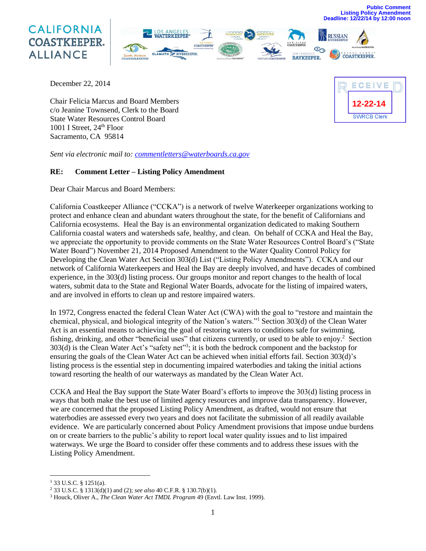**Public Comment Listing Policy Amendment Deadline: 12/22/14 by 12:00 noon**





December 22, 2014

Chair Felicia Marcus and Board Members c/o Jeanine Townsend, Clerk to the Board State Water Resources Control Board 1001 I Street, 24<sup>th</sup> Floor Sacramento, CA 95814



*Sent via electronic mail to: [commentletters@waterboards.ca.gov](mailto:commentletters@waterboards.ca.gov)*

#### **RE: Comment Letter – Listing Policy Amendment**

Dear Chair Marcus and Board Members:

California Coastkeeper Alliance ("CCKA") is a network of twelve Waterkeeper organizations working to protect and enhance clean and abundant waters throughout the state, for the benefit of Californians and California ecosystems. Heal the Bay is an environmental organization dedicated to making Southern California coastal waters and watersheds safe, healthy, and clean. On behalf of CCKA and Heal the Bay, we appreciate the opportunity to provide comments on the State Water Resources Control Board's ("State Water Board") November 21, 2014 Proposed Amendment to the Water Quality Control Policy for Developing the Clean Water Act Section 303(d) List ("Listing Policy Amendments"). CCKA and our network of California Waterkeepers and Heal the Bay are deeply involved, and have decades of combined experience, in the 303(d) listing process. Our groups monitor and report changes to the health of local waters, submit data to the State and Regional Water Boards, advocate for the listing of impaired waters, and are involved in efforts to clean up and restore impaired waters.

In 1972, Congress enacted the federal Clean Water Act (CWA) with the goal to "restore and maintain the chemical, physical, and biological integrity of the Nation's waters."<sup>1</sup> Section 303(d) of the Clean Water Act is an essential means to achieving the goal of restoring waters to conditions safe for swimming, fishing, drinking, and other "beneficial uses" that citizens currently, or used to be able to enjoy.<sup>2</sup> Section 303(d) is the Clean Water Act's "safety net"<sup>3</sup>; it is both the bedrock component and the backstop for ensuring the goals of the Clean Water Act can be achieved when initial efforts fail. Section 303(d)'s listing process is the essential step in documenting impaired waterbodies and taking the initial actions toward resorting the health of our waterways as mandated by the Clean Water Act.

CCKA and Heal the Bay support the State Water Board's efforts to improve the 303(d) listing process in ways that both make the best use of limited agency resources and improve data transparency. However, we are concerned that the proposed Listing Policy Amendment, as drafted, would not ensure that waterbodies are assessed every two years and does not facilitate the submission of all readily available evidence. We are particularly concerned about Policy Amendment provisions that impose undue burdens on or create barriers to the public's ability to report local water quality issues and to list impaired waterways. We urge the Board to consider offer these comments and to address these issues with the Listing Policy Amendment.

l

 $1$  33 U.S.C. § 1251(a).

<sup>2</sup> 33 U.S.C. § 1313(d)(1) and (2); *see also* 40 C.F.R. § 130.7(b)(1).

<sup>3</sup> Houck, Oliver A., *The Clean Water Act TMDL Program* 49 (Envtl. Law Inst. 1999).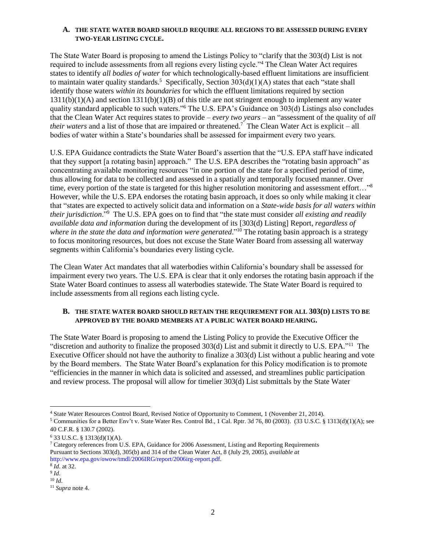### **A. THE STATE WATER BOARD SHOULD REQUIRE ALL REGIONS TO BE ASSESSED DURING EVERY TWO-YEAR LISTING CYCLE.**

The State Water Board is proposing to amend the Listings Policy to "clarify that the 303(d) List is not required to include assessments from all regions every listing cycle."<sup>4</sup> The Clean Water Act requires states to identify *all bodies of water* for which technologically-based effluent limitations are insufficient to maintain water quality standards.<sup>5</sup> Specifically, Section  $303(d)(1)(A)$  states that each "state shall identify those waters *within its boundaries* for which the effluent limitations required by section 1311(b)(1)(A) and section 1311(b)(1)(B) of this title are not stringent enough to implement any water quality standard applicable to such waters."<sup>6</sup> The U.S. EPA's Guidance on 303(d) Listings also concludes that the Clean Water Act requires states to provide – *every two years* – an "assessment of the quality of *all their waters* and a list of those that are impaired or threatened.<sup>7</sup> The Clean Water Act is explicit – all bodies of water within a State's boundaries shall be assessed for impairment every two years.

U.S. EPA Guidance contradicts the State Water Board's assertion that the "U.S. EPA staff have indicated that they support [a rotating basin] approach." The U.S. EPA describes the "rotating basin approach" as concentrating available monitoring resources "in one portion of the state for a specified period of time, thus allowing for data to be collected and assessed in a spatially and temporally focused manner. Over time, every portion of the state is targeted for this higher resolution monitoring and assessment effort..."<sup>8</sup> However, while the U.S. EPA endorses the rotating basin approach, it does so only while making it clear that "states are expected to actively solicit data and information on a *State-wide basis for all waters within their jurisdiction*."<sup>9</sup> The U.S. EPA goes on to find that "the state must consider *all existing and readily available data and information* during the development of its [303(d) Listing] Report, *regardless of where in the state the data and information were generated*." <sup>10</sup> The rotating basin approach is a strategy to focus monitoring resources, but does not excuse the State Water Board from assessing all waterway segments within California's boundaries every listing cycle.

The Clean Water Act mandates that all waterbodies within California's boundary shall be assessed for impairment every two years. The U.S. EPA is clear that it only endorses the rotating basin approach if the State Water Board continues to assess all waterbodies statewide. The State Water Board is required to include assessments from all regions each listing cycle.

## **B. THE STATE WATER BOARD SHOULD RETAIN THE REQUIREMENT FOR ALL 303(D) LISTS TO BE APPROVED BY THE BOARD MEMBERS AT A PUBLIC WATER BOARD HEARING.**

The State Water Board is proposing to amend the Listing Policy to provide the Executive Officer the "discretion and authority to finalize the proposed 303(d) List and submit it directly to U.S. EPA."<sup>11</sup> The Executive Officer should not have the authority to finalize a 303(d) List without a public hearing and vote by the Board members. The State Water Board's explanation for this Policy modification is to promote "efficiencies in the manner in which data is solicited and assessed, and streamlines public participation and review process. The proposal will allow for timelier 303(d) List submittals by the State Water

 $\overline{\phantom{a}}$ 

<sup>4</sup> State Water Resources Control Board, Revised Notice of Opportunity to Comment, 1 (November 21, 2014).

<sup>5</sup> Communities for a Better Env't v. State Water Res. Control Bd., 1 Cal. Rptr. 3d 76, 80 (2003). (33 U.S.C. § 1313(d)(1)(A); see 40 C.F.R. § 130.7 (2002).

 $6$  33 U.S.C. § 1313(d)(1)(A).

<sup>7</sup> Category references from U.S. EPA, Guidance for 2006 Assessment, Listing and Reporting Requirements Pursuant to Sections 303(d), 305(b) and 314 of the Clean Water Act, 8 (July 29, 2005), *available at* http://www.epa.gov/owow/tmdl/2006IRG/report/2006irg-report.pdf.

<sup>8</sup> *Id*. at 32.

<sup>9</sup> *Id*. <sup>10</sup> *Id*.

<sup>11</sup> *Supra* note 4.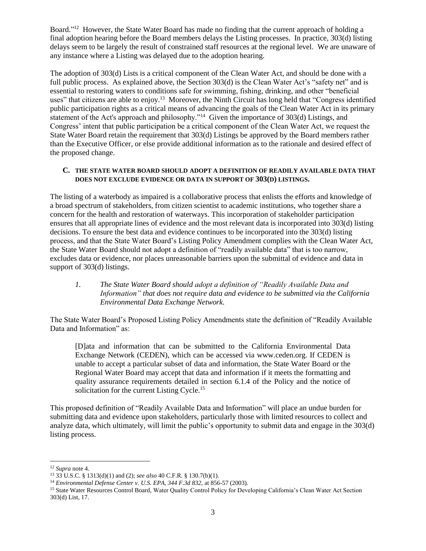Board."<sup>12</sup> However, the State Water Board has made no finding that the current approach of holding a final adoption hearing before the Board members delays the Listing processes. In practice, 303(d) listing delays seem to be largely the result of constrained staff resources at the regional level. We are unaware of any instance where a Listing was delayed due to the adoption hearing.

The adoption of 303(d) Lists is a critical component of the Clean Water Act, and should be done with a full public process. As explained above, the Section 303(d) is the Clean Water Act's "safety net" and is essential to restoring waters to conditions safe for swimming, fishing, drinking, and other "beneficial uses" that citizens are able to enjoy.<sup>13</sup> Moreover, the Ninth Circuit has long held that "Congress identified public participation rights as a critical means of advancing the goals of the Clean Water Act in its primary statement of the Act's approach and philosophy."<sup>14</sup> Given the importance of 303(d) Listings, and Congress' intent that public participation be a critical component of the Clean Water Act, we request the State Water Board retain the requirement that 303(d) Listings be approved by the Board members rather than the Executive Officer, or else provide additional information as to the rationale and desired effect of the proposed change.

### **C. THE STATE WATER BOARD SHOULD ADOPT A DEFINITION OF READILY AVAILABLE DATA THAT DOES NOT EXCLUDE EVIDENCE OR DATA IN SUPPORT OF 303(D) LISTINGS.**

The listing of a waterbody as impaired is a collaborative process that enlists the efforts and knowledge of a broad spectrum of stakeholders, from citizen scientist to academic institutions, who together share a concern for the health and restoration of waterways. This incorporation of stakeholder participation ensures that all appropriate lines of evidence and the most relevant data is incorporated into 303(d) listing decisions. To ensure the best data and evidence continues to be incorporated into the 303(d) listing process, and that the State Water Board's Listing Policy Amendment complies with the Clean Water Act, the State Water Board should not adopt a definition of "readily available data" that is too narrow, excludes data or evidence, nor places unreasonable barriers upon the submittal of evidence and data in support of 303(d) listings.

# *1. The State Water Board should adopt a definition of "Readily Available Data and Information" that does not require data and evidence to be submitted via the California Environmental Data Exchange Network.*

The State Water Board's Proposed Listing Policy Amendments state the definition of "Readily Available Data and Information" as:

[D]ata and information that can be submitted to the California Environmental Data Exchange Network (CEDEN), which can be accessed via www.ceden.org. If CEDEN is unable to accept a particular subset of data and information, the State Water Board or the Regional Water Board may accept that data and information if it meets the formatting and quality assurance requirements detailed in section 6.1.4 of the Policy and the notice of solicitation for the current Listing Cycle.<sup>15</sup>

This proposed definition of "Readily Available Data and Information" will place an undue burden for submitting data and evidence upon stakeholders, particularly those with limited resources to collect and analyze data, which ultimately, will limit the public's opportunity to submit data and engage in the 303(d) listing process.

l

<sup>12</sup> *Supra* note 4.

<sup>13</sup> 33 U.S.C. § 1313(d)(1) and (2); *see also* 40 C.F.R. § 130.7(b)(1).

<sup>14</sup> *Environmental Defense Center v. U.S. EPA, 344 F.3d 832,* at 856-57 (2003).

<sup>15</sup> State Water Resources Control Board, Water Quality Control Policy for Developing California's Clean Water Act Section 303(d) List, 17.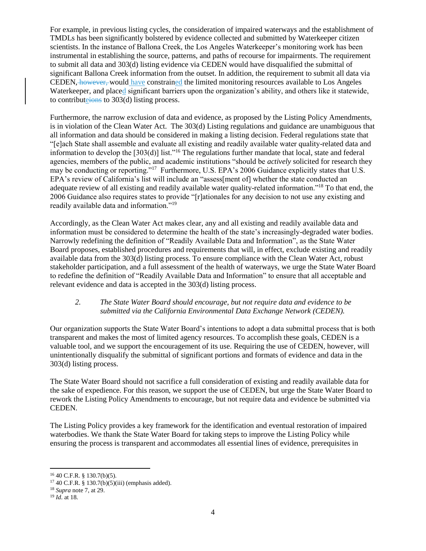For example, in previous listing cycles, the consideration of impaired waterways and the establishment of TMDLs has been significantly bolstered by evidence collected and submitted by Waterkeeper citizen scientists. In the instance of Ballona Creek, the Los Angeles Waterkeeper's monitoring work has been instrumental in establishing the source, patterns, and paths of recourse for impairments. The requirement to submit all data and 303(d) listing evidence via CEDEN would have disqualified the submittal of significant Ballona Creek information from the outset. In addition, the requirement to submit all data via CEDEN, however, would have constrained the limited monitoring resources available to Los Angeles Waterkeeper, and placed significant barriers upon the organization's ability, and others like it statewide, to contributeions to 303(d) listing process.

Furthermore, the narrow exclusion of data and evidence, as proposed by the Listing Policy Amendments, is in violation of the Clean Water Act. The 303(d) Listing regulations and guidance are unambiguous that all information and data should be considered in making a listing decision. Federal regulations state that "[e]ach State shall assemble and evaluate all existing and readily available water quality-related data and information to develop the [303(d)] list."<sup>16</sup> The regulations further mandate that local, state and federal agencies, members of the public, and academic institutions "should be *actively* solicited for research they may be conducting or reporting."<sup>17</sup> Furthermore, U.S. EPA's 2006 Guidance explicitly states that U.S. EPA's review of California's list will include an "assess[ment of] whether the state conducted an adequate review of all existing and readily available water quality-related information."<sup>18</sup> To that end, the 2006 Guidance also requires states to provide "[r]ationales for any decision to not use any existing and readily available data and information."<sup>19</sup>

Accordingly, as the Clean Water Act makes clear, any and all existing and readily available data and information must be considered to determine the health of the state's increasingly-degraded water bodies. Narrowly redefining the definition of "Readily Available Data and Information", as the State Water Board proposes, established procedures and requirements that will, in effect, exclude existing and readily available data from the 303(d) listing process. To ensure compliance with the Clean Water Act, robust stakeholder participation, and a full assessment of the health of waterways, we urge the State Water Board to redefine the definition of "Readily Available Data and Information" to ensure that all acceptable and relevant evidence and data is accepted in the 303(d) listing process.

## *2. The State Water Board should encourage, but not require data and evidence to be submitted via the California Environmental Data Exchange Network (CEDEN).*

Our organization supports the State Water Board's intentions to adopt a data submittal process that is both transparent and makes the most of limited agency resources. To accomplish these goals, CEDEN is a valuable tool, and we support the encouragement of its use. Requiring the use of CEDEN, however, will unintentionally disqualify the submittal of significant portions and formats of evidence and data in the 303(d) listing process.

The State Water Board should not sacrifice a full consideration of existing and readily available data for the sake of expedience. For this reason, we support the use of CEDEN, but urge the State Water Board to rework the Listing Policy Amendments to encourage, but not require data and evidence be submitted via CEDEN.

The Listing Policy provides a key framework for the identification and eventual restoration of impaired waterbodies. We thank the State Water Board for taking steps to improve the Listing Policy while ensuring the process is transparent and accommodates all essential lines of evidence, prerequisites in

 $\overline{\phantom{a}}$ 

 $16$  40 C.F.R. § 130.7(b)(5).

 $17\,40$  C.F.R. § 130.7(b)(5)(iii) (emphasis added).

<sup>18</sup> *Supra* note 7, at 29.

<sup>19</sup> *Id*. at 18.